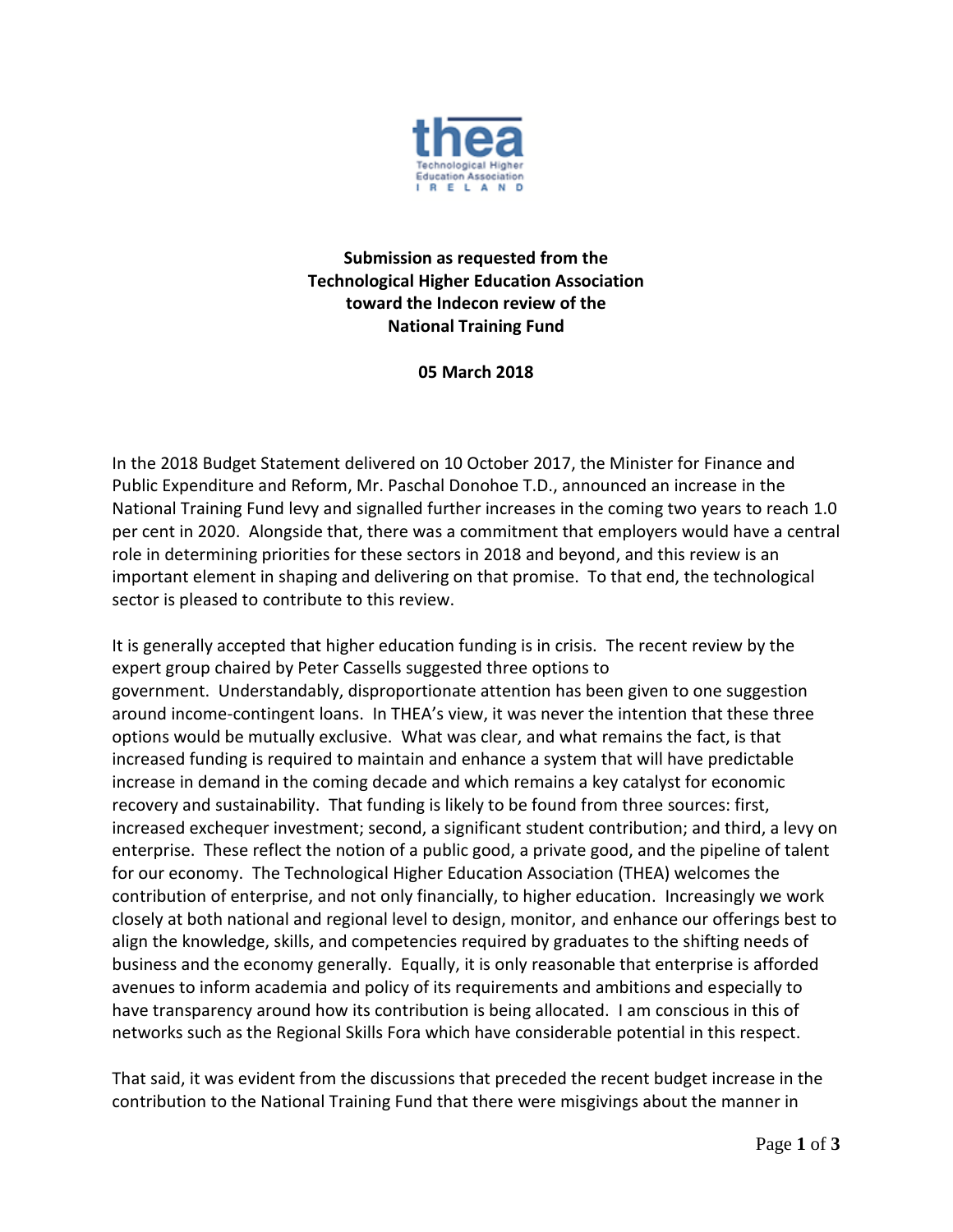

## **Submission as requested from the Technological Higher Education Association toward the Indecon review of the National Training Fund**

## **05 March 2018**

In the 2018 Budget Statement delivered on 10 October 2017, the Minister for Finance and Public Expenditure and Reform, Mr. Paschal Donohoe T.D., announced an increase in the National Training Fund levy and signalled further increases in the coming two years to reach 1.0 per cent in 2020. Alongside that, there was a commitment that employers would have a central role in determining priorities for these sectors in 2018 and beyond, and this review is an important element in shaping and delivering on that promise. To that end, the technological sector is pleased to contribute to this review.

It is generally accepted that higher education funding is in crisis. The recent review by the expert group chaired by Peter Cassells suggested three options to government. Understandably, disproportionate attention has been given to one suggestion around income-contingent loans. In THEA's view, it was never the intention that these three options would be mutually exclusive. What was clear, and what remains the fact, is that increased funding is required to maintain and enhance a system that will have predictable increase in demand in the coming decade and which remains a key catalyst for economic recovery and sustainability. That funding is likely to be found from three sources: first, increased exchequer investment; second, a significant student contribution; and third, a levy on enterprise. These reflect the notion of a public good, a private good, and the pipeline of talent for our economy. The Technological Higher Education Association (THEA) welcomes the contribution of enterprise, and not only financially, to higher education. Increasingly we work closely at both national and regional level to design, monitor, and enhance our offerings best to align the knowledge, skills, and competencies required by graduates to the shifting needs of business and the economy generally. Equally, it is only reasonable that enterprise is afforded avenues to inform academia and policy of its requirements and ambitions and especially to have transparency around how its contribution is being allocated. I am conscious in this of networks such as the Regional Skills Fora which have considerable potential in this respect.

That said, it was evident from the discussions that preceded the recent budget increase in the contribution to the National Training Fund that there were misgivings about the manner in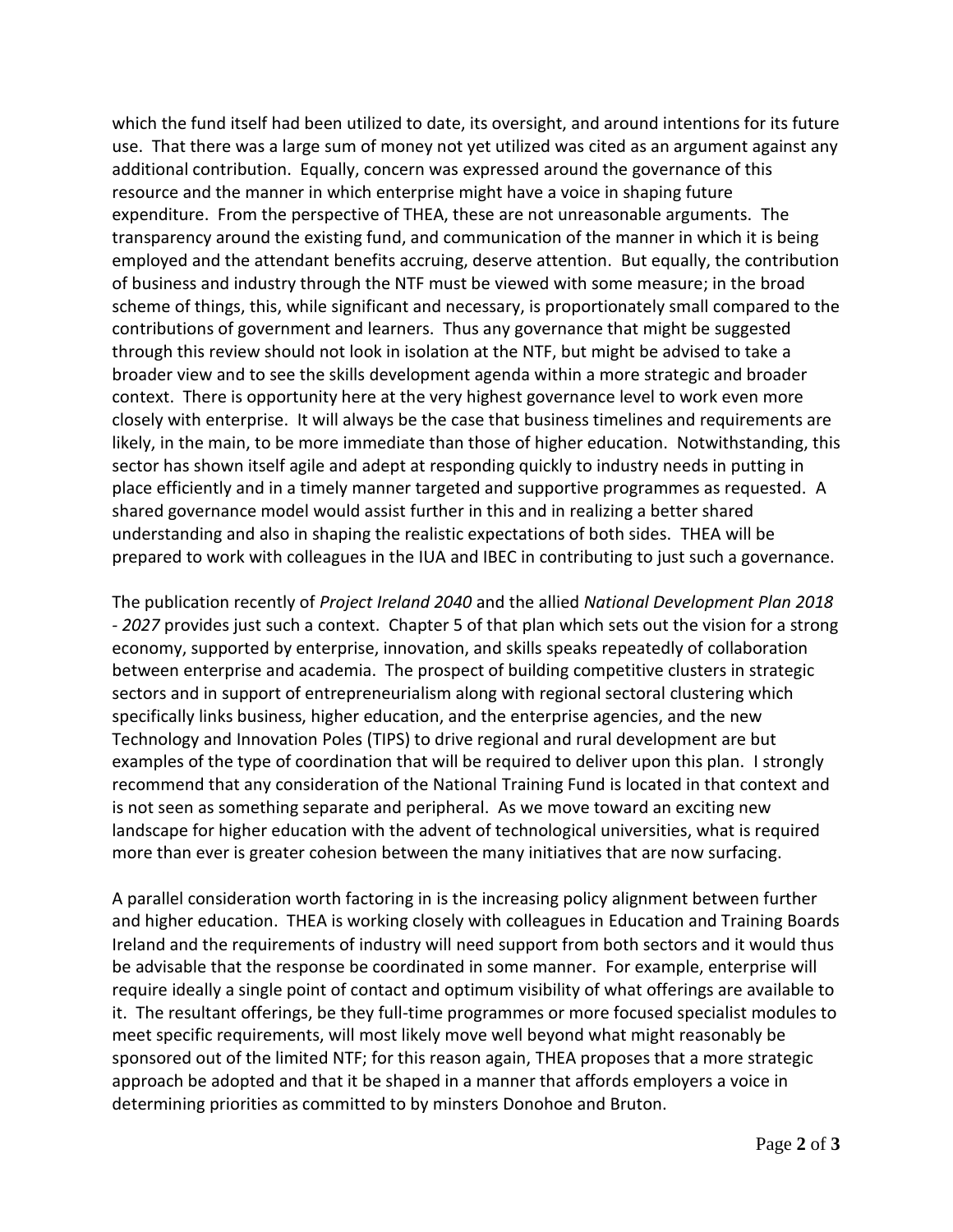which the fund itself had been utilized to date, its oversight, and around intentions for its future use. That there was a large sum of money not yet utilized was cited as an argument against any additional contribution. Equally, concern was expressed around the governance of this resource and the manner in which enterprise might have a voice in shaping future expenditure. From the perspective of THEA, these are not unreasonable arguments. The transparency around the existing fund, and communication of the manner in which it is being employed and the attendant benefits accruing, deserve attention. But equally, the contribution of business and industry through the NTF must be viewed with some measure; in the broad scheme of things, this, while significant and necessary, is proportionately small compared to the contributions of government and learners. Thus any governance that might be suggested through this review should not look in isolation at the NTF, but might be advised to take a broader view and to see the skills development agenda within a more strategic and broader context. There is opportunity here at the very highest governance level to work even more closely with enterprise. It will always be the case that business timelines and requirements are likely, in the main, to be more immediate than those of higher education. Notwithstanding, this sector has shown itself agile and adept at responding quickly to industry needs in putting in place efficiently and in a timely manner targeted and supportive programmes as requested. A shared governance model would assist further in this and in realizing a better shared understanding and also in shaping the realistic expectations of both sides. THEA will be prepared to work with colleagues in the IUA and IBEC in contributing to just such a governance.

The publication recently of *Project Ireland 2040* and the allied *National Development Plan 2018 - 2027* provides just such a context. Chapter 5 of that plan which sets out the vision for a strong economy, supported by enterprise, innovation, and skills speaks repeatedly of collaboration between enterprise and academia. The prospect of building competitive clusters in strategic sectors and in support of entrepreneurialism along with regional sectoral clustering which specifically links business, higher education, and the enterprise agencies, and the new Technology and Innovation Poles (TIPS) to drive regional and rural development are but examples of the type of coordination that will be required to deliver upon this plan. I strongly recommend that any consideration of the National Training Fund is located in that context and is not seen as something separate and peripheral. As we move toward an exciting new landscape for higher education with the advent of technological universities, what is required more than ever is greater cohesion between the many initiatives that are now surfacing.

A parallel consideration worth factoring in is the increasing policy alignment between further and higher education. THEA is working closely with colleagues in Education and Training Boards Ireland and the requirements of industry will need support from both sectors and it would thus be advisable that the response be coordinated in some manner. For example, enterprise will require ideally a single point of contact and optimum visibility of what offerings are available to it. The resultant offerings, be they full-time programmes or more focused specialist modules to meet specific requirements, will most likely move well beyond what might reasonably be sponsored out of the limited NTF; for this reason again, THEA proposes that a more strategic approach be adopted and that it be shaped in a manner that affords employers a voice in determining priorities as committed to by minsters Donohoe and Bruton.